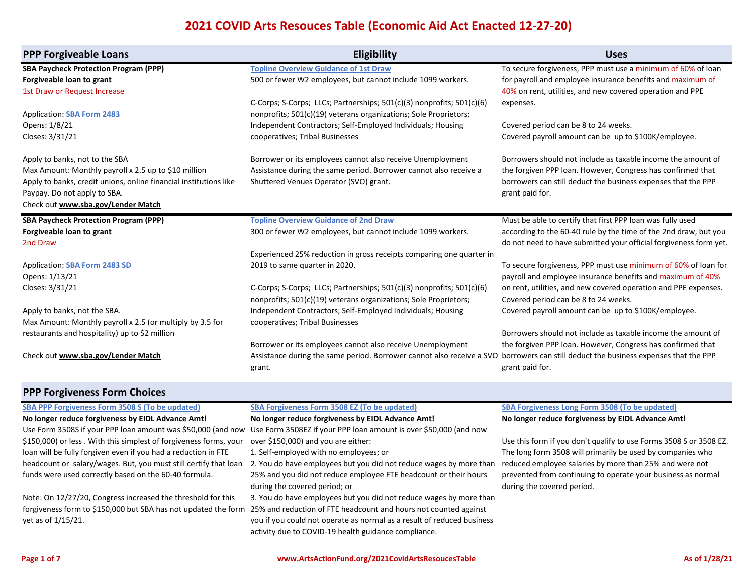| <b>PPP Forgiveable Loans</b>                                      | <b>Eligibility</b>                                                                                                                        | <b>Uses</b>                                                                                             |
|-------------------------------------------------------------------|-------------------------------------------------------------------------------------------------------------------------------------------|---------------------------------------------------------------------------------------------------------|
| <b>SBA Paycheck Protection Program (PPP)</b>                      | <b>Topline Overview Guidance of 1st Draw</b>                                                                                              | To secure forgiveness, PPP must use a minimum of 60% of loan                                            |
| Forgiveable loan to grant                                         | 500 or fewer W2 employees, but cannot include 1099 workers.                                                                               | for payroll and employee insurance benefits and maximum of                                              |
| 1st Draw or Request Increase                                      |                                                                                                                                           | 40% on rent, utilities, and new covered operation and PPE                                               |
|                                                                   | C-Corps; S-Corps; LLCs; Partnerships; 501(c)(3) nonprofits; 501(c)(6)                                                                     | expenses.                                                                                               |
| <b>Application: SBA Form 2483</b>                                 | nonprofits; 501(c)(19) veterans organizations; Sole Proprietors;                                                                          |                                                                                                         |
| Opens: 1/8/21                                                     | Independent Contractors; Self-Employed Individuals; Housing                                                                               | Covered period can be 8 to 24 weeks.                                                                    |
| Closes: 3/31/21                                                   | cooperatives; Tribal Businesses                                                                                                           | Covered payroll amount can be up to \$100K/employee.                                                    |
| Apply to banks, not to the SBA                                    | Borrower or its employees cannot also receive Unemployment                                                                                | Borrowers should not include as taxable income the amount of                                            |
| Max Amount: Monthly payroll x 2.5 up to \$10 million              | Assistance during the same period. Borrower cannot also receive a                                                                         | the forgiven PPP loan. However, Congress has confirmed that                                             |
| Apply to banks, credit unions, online financial institutions like | Shuttered Venues Operator (SVO) grant.                                                                                                    | borrowers can still deduct the business expenses that the PPP                                           |
| Paypay. Do not apply to SBA.                                      |                                                                                                                                           | grant paid for.                                                                                         |
| Check out www.sba.gov/Lender Match                                |                                                                                                                                           |                                                                                                         |
| <b>SBA Paycheck Protection Program (PPP)</b>                      | <b>Topline Overview Guidance of 2nd Draw</b>                                                                                              | Must be able to certify that first PPP loan was fully used                                              |
| Forgiveable loan to grant                                         | 300 or fewer W2 employees, but cannot include 1099 workers.                                                                               | according to the 60-40 rule by the time of the 2nd draw, but you                                        |
| 2nd Draw                                                          |                                                                                                                                           | do not need to have submitted your official forgiveness form yet.                                       |
|                                                                   | Experienced 25% reduction in gross receipts comparing one quarter in                                                                      |                                                                                                         |
| <b>Application: SBA Form 2483 SD</b>                              | 2019 to same quarter in 2020.                                                                                                             | To secure forgiveness, PPP must use minimum of 60% of loan for                                          |
| Opens: 1/13/21                                                    |                                                                                                                                           | payroll and employee insurance benefits and maximum of 40%                                              |
| Closes: 3/31/21                                                   | C-Corps; S-Corps; LLCs; Partnerships; 501(c)(3) nonprofits; 501(c)(6)<br>nonprofits; 501(c)(19) veterans organizations; Sole Proprietors; | on rent, utilities, and new covered operation and PPE expenses.<br>Covered period can be 8 to 24 weeks. |
| Apply to banks, not the SBA.                                      | Independent Contractors; Self-Employed Individuals; Housing                                                                               | Covered payroll amount can be up to \$100K/employee.                                                    |
| Max Amount: Monthly payroll x 2.5 (or multiply by 3.5 for         | cooperatives; Tribal Businesses                                                                                                           |                                                                                                         |
| restaurants and hospitality) up to \$2 million                    |                                                                                                                                           | Borrowers should not include as taxable income the amount of                                            |
|                                                                   | Borrower or its employees cannot also receive Unemployment                                                                                | the forgiven PPP loan. However, Congress has confirmed that                                             |
| Check out www.sba.gov/Lender Match                                | Assistance during the same period. Borrower cannot also receive a SVO                                                                     | borrowers can still deduct the business expenses that the PPP                                           |
|                                                                   | grant.                                                                                                                                    | grant paid for.                                                                                         |
| <b>PPP Forgiveness Form Choices</b>                               |                                                                                                                                           |                                                                                                         |
| <b>SBA PPP Forgiveness Form 3508 S (To be updated)</b>            | <b>SBA Forgiveness Form 3508 EZ (To be updated)</b>                                                                                       | <b>SBA Forgiveness Long Form 3508 (To be updated)</b>                                                   |

#### **[SBA PPP Forgiveness Form 3508 S \(To be updated\)](http://go.pardot.com/e/565082/20Application20Form203508S-pdf/4g1fjz/597192729?h=kjJ2q68KV4LDYbSLvgO5KpIwMLPDLte7yTG7LK7EcqI) [No longer reduce forgiveness by EIDL Advance Amt!](http://go.pardot.com/e/565082/20Application20Form203508S-pdf/4g1fjz/597192729?h=kjJ2q68KV4LDYbSLvgO5KpIwMLPDLte7yTG7LK7EcqI)**

[Use Form 3508S if your PPP loan amount was \\$50,000 \(and now](http://go.pardot.com/e/565082/20Application20Form203508S-pdf/4g1fjz/597192729?h=kjJ2q68KV4LDYbSLvgO5KpIwMLPDLte7yTG7LK7EcqI)  [\\$150,000\) or less . With this simplest of forgiveness forms, your](http://go.pardot.com/e/565082/20Application20Form203508S-pdf/4g1fjz/597192729?h=kjJ2q68KV4LDYbSLvgO5KpIwMLPDLte7yTG7LK7EcqI)  [loan will be fully forgiven even if you had a reduction in FTE](http://go.pardot.com/e/565082/20Application20Form203508S-pdf/4g1fjz/597192729?h=kjJ2q68KV4LDYbSLvgO5KpIwMLPDLte7yTG7LK7EcqI)  [headcount or salary/wages. But, you must still certify that loan](http://go.pardot.com/e/565082/20Application20Form203508S-pdf/4g1fjz/597192729?h=kjJ2q68KV4LDYbSLvgO5KpIwMLPDLte7yTG7LK7EcqI)  [funds were used correctly based on the 60-40 formula.](http://go.pardot.com/e/565082/20Application20Form203508S-pdf/4g1fjz/597192729?h=kjJ2q68KV4LDYbSLvgO5KpIwMLPDLte7yTG7LK7EcqI)

[Note: On 12/27/20, Congress increased the threshold for this](http://go.pardot.com/e/565082/20Application20Form203508S-pdf/4g1fjz/597192729?h=kjJ2q68KV4LDYbSLvgO5KpIwMLPDLte7yTG7LK7EcqI)  [forgiveness form to \\$150,000 but SBA has not updated the form](http://go.pardot.com/e/565082/20Application20Form203508S-pdf/4g1fjz/597192729?h=kjJ2q68KV4LDYbSLvgO5KpIwMLPDLte7yTG7LK7EcqI)  [yet as of 1/15/21.](http://go.pardot.com/e/565082/20Application20Form203508S-pdf/4g1fjz/597192729?h=kjJ2q68KV4LDYbSLvgO5KpIwMLPDLte7yTG7LK7EcqI)

[Use Form 3508EZ if your PPP loan amount is over \\$50,000 \(and now](https://home.treasury.gov/system/files/136/PPP-Forgiveness-Application-3508EZ.pdf)  [over \\$150,000\) and you are either:](https://home.treasury.gov/system/files/136/PPP-Forgiveness-Application-3508EZ.pdf)

[1. Self-employed with no employees; or](https://home.treasury.gov/system/files/136/PPP-Forgiveness-Application-3508EZ.pdf) 

**[No longer reduce forgiveness by EIDL Advance Amt!](https://home.treasury.gov/system/files/136/PPP-Forgiveness-Application-3508EZ.pdf)**

[2. You do have employees but you did not reduce wages by more than](https://home.treasury.gov/system/files/136/PPP-Forgiveness-Application-3508EZ.pdf)  [25% and you did not reduce employee FTE headcount or their hours](https://home.treasury.gov/system/files/136/PPP-Forgiveness-Application-3508EZ.pdf)  [during the covered period; or](https://home.treasury.gov/system/files/136/PPP-Forgiveness-Application-3508EZ.pdf)

[3. You do have employees but you did not reduce wages by more than](https://home.treasury.gov/system/files/136/PPP-Forgiveness-Application-3508EZ.pdf)  [25% and reduction of FTE headcount and hours not counted against](https://home.treasury.gov/system/files/136/PPP-Forgiveness-Application-3508EZ.pdf)  [you if you could not operate as normal as a result of reduced business](https://home.treasury.gov/system/files/136/PPP-Forgiveness-Application-3508EZ.pdf)  [activity due to COVID-19 health guidance compliance.](https://home.treasury.gov/system/files/136/PPP-Forgiveness-Application-3508EZ.pdf)

## **[SBA Forgiveness Long Form 3508 \(To be updated\)](https://home.treasury.gov/system/files/136/3245-0407-SBA-Form-3508-PPP-Forgiveness-Application.pdf) [No longer reduce forgiveness by EIDL Advance Amt!](https://home.treasury.gov/system/files/136/3245-0407-SBA-Form-3508-PPP-Forgiveness-Application.pdf)**

[Use this form if you don't qualify to use Forms 3508 S or 3508 EZ.](https://home.treasury.gov/system/files/136/3245-0407-SBA-Form-3508-PPP-Forgiveness-Application.pdf) [The long form 3508 will primarily be used by companies who](https://home.treasury.gov/system/files/136/3245-0407-SBA-Form-3508-PPP-Forgiveness-Application.pdf)  [reduced employee salaries by more than 25% and were not](https://home.treasury.gov/system/files/136/3245-0407-SBA-Form-3508-PPP-Forgiveness-Application.pdf)  [prevented from continuing to operate your business as normal](https://home.treasury.gov/system/files/136/3245-0407-SBA-Form-3508-PPP-Forgiveness-Application.pdf)  [during the covered period.](https://home.treasury.gov/system/files/136/3245-0407-SBA-Form-3508-PPP-Forgiveness-Application.pdf)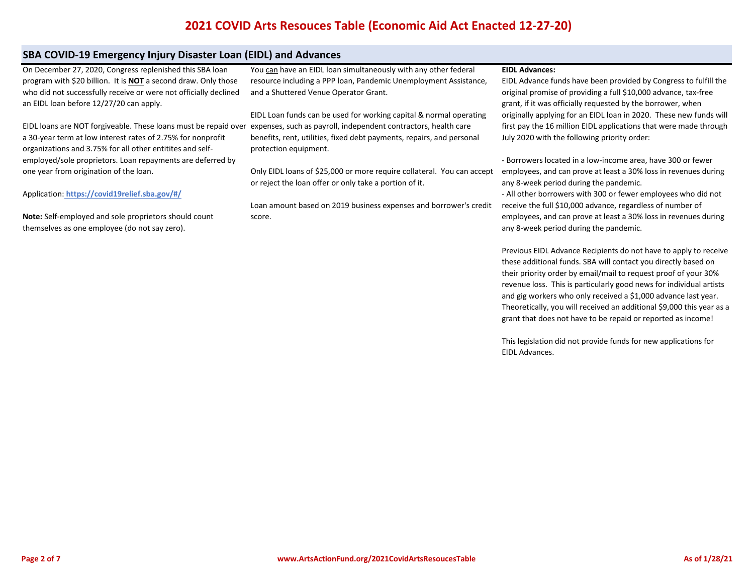# **SBA COVID-19 Emergency Injury Disaster Loan (EIDL) and Advances**

[On December 27, 2020, Congress replenished this SBA loan](https://www.sba.gov/funding-programs/loans/coronavirus-relief-options/covid-19-economic-injury-disaster-loans#section-header-4)  [program with \\$20 billion. It is](https://www.sba.gov/funding-programs/loans/coronavirus-relief-options/covid-19-economic-injury-disaster-loans#section-header-4) **[NOT](https://www.sba.gov/funding-programs/loans/coronavirus-relief-options/covid-19-economic-injury-disaster-loans#section-header-4)** [a second draw. Only those](https://www.sba.gov/funding-programs/loans/coronavirus-relief-options/covid-19-economic-injury-disaster-loans#section-header-4)  [who did not successfully receive or were not officially declined](https://www.sba.gov/funding-programs/loans/coronavirus-relief-options/covid-19-economic-injury-disaster-loans#section-header-4)  [an EIDL loan before 12/27/20 can apply.](https://www.sba.gov/funding-programs/loans/coronavirus-relief-options/covid-19-economic-injury-disaster-loans#section-header-4)

[EIDL loans are NOT forgiveable. These loans must be repaid over](https://www.sba.gov/funding-programs/loans/coronavirus-relief-options/covid-19-economic-injury-disaster-loans#section-header-4)  [a 30-year term at low interest rates of 2.75% for nonprofit](https://www.sba.gov/funding-programs/loans/coronavirus-relief-options/covid-19-economic-injury-disaster-loans#section-header-4)  [organizations and 3.75% for all other entitites and self](https://www.sba.gov/funding-programs/loans/coronavirus-relief-options/covid-19-economic-injury-disaster-loans#section-header-4)[employed/sole proprietors. Loan repayments are deferred by](https://www.sba.gov/funding-programs/loans/coronavirus-relief-options/covid-19-economic-injury-disaster-loans#section-header-4)  [one year from origination of the loan.](https://www.sba.gov/funding-programs/loans/coronavirus-relief-options/covid-19-economic-injury-disaster-loans#section-header-4)

[Application:](https://www.sba.gov/funding-programs/loans/coronavirus-relief-options/covid-19-economic-injury-disaster-loans#section-header-4) **[https://covid19relief.sba.gov/#/](https://www.sba.gov/funding-programs/loans/coronavirus-relief-options/covid-19-economic-injury-disaster-loans#section-header-4)**

**[Note:](https://www.sba.gov/funding-programs/loans/coronavirus-relief-options/covid-19-economic-injury-disaster-loans#section-header-4)** [Self-employed and sole proprietors should count](https://www.sba.gov/funding-programs/loans/coronavirus-relief-options/covid-19-economic-injury-disaster-loans#section-header-4)  [themselves as one employee \(do not say zero\).](https://www.sba.gov/funding-programs/loans/coronavirus-relief-options/covid-19-economic-injury-disaster-loans#section-header-4)

You can have an EIDL loan simultaneously with any other federal resource including a PPP loan, Pandemic Unemployment Assistance, and a Shuttered Venue Operator Grant.

EIDL Loan funds can be used for working capital & normal operating expenses, such as payroll, independent contractors, health care benefits, rent, utilities, fixed debt payments, repairs, and personal protection equipment.

Only EIDL loans of \$25,000 or more require collateral. You can accept or reject the loan offer or only take a portion of it.

Loan amount based on 2019 business expenses and borrower's credit score.

#### **EIDL Advances:**

EIDL Advance funds have been provided by Congress to fulfill the original promise of providing a full \$10,000 advance, tax-free grant, if it was officially requested by the borrower, when originally applying for an EIDL loan in 2020. These new funds will first pay the 16 million EIDL applications that were made through July 2020 with the following priority order:

- Borrowers located in a low-income area, have 300 or fewer employees, and can prove at least a 30% loss in revenues during any 8-week period during the pandemic.

- All other borrowers with 300 or fewer employees who did not receive the full \$10,000 advance, regardless of number of employees, and can prove at least a 30% loss in revenues during any 8-week period during the pandemic.

Previous EIDL Advance Recipients do not have to apply to receive these additional funds. SBA will contact you directly based on their priority order by email/mail to request proof of your 30% revenue loss. This is particularly good news for individual artists and gig workers who only received a \$1,000 advance last year. Theoretically, you will received an additional \$9,000 this year as a grant that does not have to be repaid or reported as income!

This legislation did not provide funds for new applications for EIDL Advances.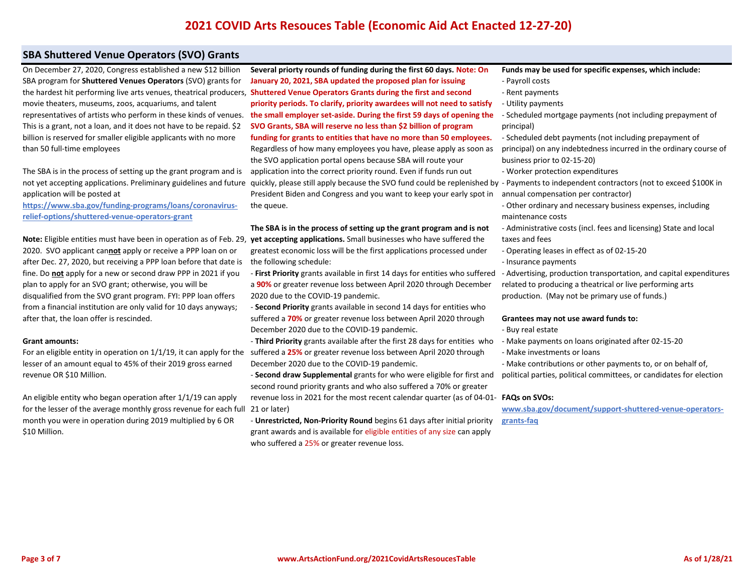# **SBA Shuttered Venue Operators (SVO) Grants**

[On December 27, 2020, Congress established a new \\$12 billion](https://www.sba.gov/funding-programs/loans/coronavirus-relief-options/shuttered-venue-operators-grant)  [SBA program for](https://www.sba.gov/funding-programs/loans/coronavirus-relief-options/shuttered-venue-operators-grant) **[Shuttered Venues Operators](https://www.sba.gov/funding-programs/loans/coronavirus-relief-options/shuttered-venue-operators-grant)** [\(SVO\) grants for](https://www.sba.gov/funding-programs/loans/coronavirus-relief-options/shuttered-venue-operators-grant)  [movie theaters, museums, zoos, acquariums, and talent](https://www.sba.gov/funding-programs/loans/coronavirus-relief-options/shuttered-venue-operators-grant)  [representatives of artists who perform in these kinds of venues.](https://www.sba.gov/funding-programs/loans/coronavirus-relief-options/shuttered-venue-operators-grant)  [This is a grant, not a loan, and it does not have to be repaid. \\$2](https://www.sba.gov/funding-programs/loans/coronavirus-relief-options/shuttered-venue-operators-grant)  [billion is reserved for smaller eligible applicants with no more](https://www.sba.gov/funding-programs/loans/coronavirus-relief-options/shuttered-venue-operators-grant)  [than 50 full-time employees](https://www.sba.gov/funding-programs/loans/coronavirus-relief-options/shuttered-venue-operators-grant)

[The SBA is in the process of setting up the grant program and is](https://www.sba.gov/funding-programs/loans/coronavirus-relief-options/shuttered-venue-operators-grant)  [not yet accepting applications. Preliminary guidelines and future](https://www.sba.gov/funding-programs/loans/coronavirus-relief-options/shuttered-venue-operators-grant)  [application will be posted at](https://www.sba.gov/funding-programs/loans/coronavirus-relief-options/shuttered-venue-operators-grant)

**[https://www.sba.gov/funding-programs/loans/coronavirus](https://www.sba.gov/funding-programs/loans/coronavirus-relief-options/shuttered-venue-operators-grant)[relief-options/shuttered-venue-operators-grant](https://www.sba.gov/funding-programs/loans/coronavirus-relief-options/shuttered-venue-operators-grant)**

**[Note:](https://www.sba.gov/funding-programs/loans/coronavirus-relief-options/shuttered-venue-operators-grant)** [Eligible entities must have been in operation as of Feb. 29,](https://www.sba.gov/funding-programs/loans/coronavirus-relief-options/shuttered-venue-operators-grant)  [2020. SVO applicant can](https://www.sba.gov/funding-programs/loans/coronavirus-relief-options/shuttered-venue-operators-grant)**[not](https://www.sba.gov/funding-programs/loans/coronavirus-relief-options/shuttered-venue-operators-grant)** [apply or receive a PPP loan on or](https://www.sba.gov/funding-programs/loans/coronavirus-relief-options/shuttered-venue-operators-grant)  [after Dec. 27, 2020, but receiving a PPP loan before that date is](https://www.sba.gov/funding-programs/loans/coronavirus-relief-options/shuttered-venue-operators-grant)  [fine. Do](https://www.sba.gov/funding-programs/loans/coronavirus-relief-options/shuttered-venue-operators-grant) **[not](https://www.sba.gov/funding-programs/loans/coronavirus-relief-options/shuttered-venue-operators-grant)** [apply for a new or second draw PPP in 2021 if you](https://www.sba.gov/funding-programs/loans/coronavirus-relief-options/shuttered-venue-operators-grant)  [plan to apply for an SVO grant; otherwise, you will be](https://www.sba.gov/funding-programs/loans/coronavirus-relief-options/shuttered-venue-operators-grant)  [disqualified from the SVO grant program. FYI: PPP loan offers](https://www.sba.gov/funding-programs/loans/coronavirus-relief-options/shuttered-venue-operators-grant)  [from a financial institution are only valid for 10 days anyways;](https://www.sba.gov/funding-programs/loans/coronavirus-relief-options/shuttered-venue-operators-grant)  [after that, the loan offer is rescinded.](https://www.sba.gov/funding-programs/loans/coronavirus-relief-options/shuttered-venue-operators-grant)

#### **[Grant amounts:](https://www.sba.gov/funding-programs/loans/coronavirus-relief-options/shuttered-venue-operators-grant)**

[For an eligible entity in operation on 1/1/19, it can apply for the](https://www.sba.gov/funding-programs/loans/coronavirus-relief-options/shuttered-venue-operators-grant)  [lesser of an amount equal to 45% of their 2019 gross earned](https://www.sba.gov/funding-programs/loans/coronavirus-relief-options/shuttered-venue-operators-grant)  [revenue OR \\$10 Million.](https://www.sba.gov/funding-programs/loans/coronavirus-relief-options/shuttered-venue-operators-grant) 

[An eligible entity who began operation after 1/1/19 can apply](https://www.sba.gov/funding-programs/loans/coronavirus-relief-options/shuttered-venue-operators-grant)  [for the lesser of the average monthly gross revenue for each full](https://www.sba.gov/funding-programs/loans/coronavirus-relief-options/shuttered-venue-operators-grant)  [month you were in operation during 2019 multiplied by 6 OR](https://www.sba.gov/funding-programs/loans/coronavirus-relief-options/shuttered-venue-operators-grant)  [\\$10 Million.](https://www.sba.gov/funding-programs/loans/coronavirus-relief-options/shuttered-venue-operators-grant)

[the hardest hit performing live arts venues, theatrical producers,](https://www.sba.gov/funding-programs/loans/coronavirus-relief-options/shuttered-venue-operators-grant) **Shuttered Venue Operators Grants during the first and second Several priorty rounds of funding during the first 60 days. Note: On January 20, 2021, SBA updated the proposed plan for issuing priority periods. To clarify, priority awardees will not need to satisfy the small employer set-aside. During the first 59 days of opening the SVO Grants, SBA will reserve no less than \$2 billion of program funding for grants to entities that have no more than 50 employees.**  Regardless of how many employees you have, please apply as soon as the SVO application portal opens because SBA will route your application into the correct priority round. Even if funds run out quickly, please still apply because the SVO fund could be replenished by President Biden and Congress and you want to keep your early spot in the queue.

> **The SBA is in the process of setting up the grant program and is not yet accepting applications.** Small businesses who have suffered the greatest economic loss will be the first applications processed under the following schedule:

- **First Priority** grants available in first 14 days for entities who suffered a **90%** or greater revenue loss between April 2020 through December 2020 due to the COVID-19 pandemic.

- **Second Priority** grants available in second 14 days for entities who suffered a **70%** or greater revenue loss between April 2020 through December 2020 due to the COVID-19 pandemic.

- **Third Priority** grants available after the first 28 days for entities who suffered a **25%** or greater revenue loss between April 2020 through December 2020 due to the COVID-19 pandemic.

- **Second draw Supplemental** grants for who were eligible for first and second round priority grants and who also suffered a 70% or greater revenue loss in 2021 for the most recent calendar quarter (as of 04-01- **[FAQs on SVOs:](https://www.sba.gov/document/support-shuttered-venue-operators-grants-faq)**  21 or later)

- **Unrestricted, Non-Priority Round** begins 61 days after initial priority grant awards and is available for eligible entities of any size can apply who suffered a 25% or greater revenue loss.

- **[Funds may be used for specific expenses, which include:](https://www.sba.gov/document/support-shuttered-venue-operators-grants-faq)** [- Payroll costs](https://www.sba.gov/document/support-shuttered-venue-operators-grants-faq)
- [Rent payments](https://www.sba.gov/document/support-shuttered-venue-operators-grants-faq)
- [Utility payments](https://www.sba.gov/document/support-shuttered-venue-operators-grants-faq)
- [Scheduled mortgage payments \(not including prepayment of](https://www.sba.gov/document/support-shuttered-venue-operators-grants-faq)  [principal\)](https://www.sba.gov/document/support-shuttered-venue-operators-grants-faq)

[- Scheduled debt payments \(not including prepayment of](https://www.sba.gov/document/support-shuttered-venue-operators-grants-faq)  [principal\) on any indebtedness incurred in the ordinary course of](https://www.sba.gov/document/support-shuttered-venue-operators-grants-faq)  [business prior to 02-15-20\)](https://www.sba.gov/document/support-shuttered-venue-operators-grants-faq)

- [Worker protection expenditures](https://www.sba.gov/document/support-shuttered-venue-operators-grants-faq)
- [Payments to independent contractors \(not to exceed \\$100K in](https://www.sba.gov/document/support-shuttered-venue-operators-grants-faq)  [annual compensation per contractor\)](https://www.sba.gov/document/support-shuttered-venue-operators-grants-faq)

[- Other ordinary and necessary business expenses, including](https://www.sba.gov/document/support-shuttered-venue-operators-grants-faq)  [maintenance costs](https://www.sba.gov/document/support-shuttered-venue-operators-grants-faq)

- [Administrative costs \(incl. fees and licensing\) State and local](https://www.sba.gov/document/support-shuttered-venue-operators-grants-faq)  [taxes and fees](https://www.sba.gov/document/support-shuttered-venue-operators-grants-faq)
- [Operating leases in effect as of 02-15-20](https://www.sba.gov/document/support-shuttered-venue-operators-grants-faq)
- [Insurance payments](https://www.sba.gov/document/support-shuttered-venue-operators-grants-faq)

[- Advertising, production transportation, and capital expenditures](https://www.sba.gov/document/support-shuttered-venue-operators-grants-faq)  [related to producing a theatrical or live performing arts](https://www.sba.gov/document/support-shuttered-venue-operators-grants-faq)  [production. \(May not be primary use of funds.\)](https://www.sba.gov/document/support-shuttered-venue-operators-grants-faq)

#### **[Grantees may not use award funds to:](https://www.sba.gov/document/support-shuttered-venue-operators-grants-faq)**

- [Buy real estate](https://www.sba.gov/document/support-shuttered-venue-operators-grants-faq)
- [Make payments on loans originated after 02-15-20](https://www.sba.gov/document/support-shuttered-venue-operators-grants-faq)
- [Make investments or loans](https://www.sba.gov/document/support-shuttered-venue-operators-grants-faq)

[- Make contributions or other payments to, or on behalf of,](https://www.sba.gov/document/support-shuttered-venue-operators-grants-faq)  [political parties, political committees, or candidates for election](https://www.sba.gov/document/support-shuttered-venue-operators-grants-faq)

**[www.sba.gov/document/support-shuttered-venue-operators](https://www.sba.gov/document/support-shuttered-venue-operators-grants-faq)[grants-faq](https://www.sba.gov/document/support-shuttered-venue-operators-grants-faq)**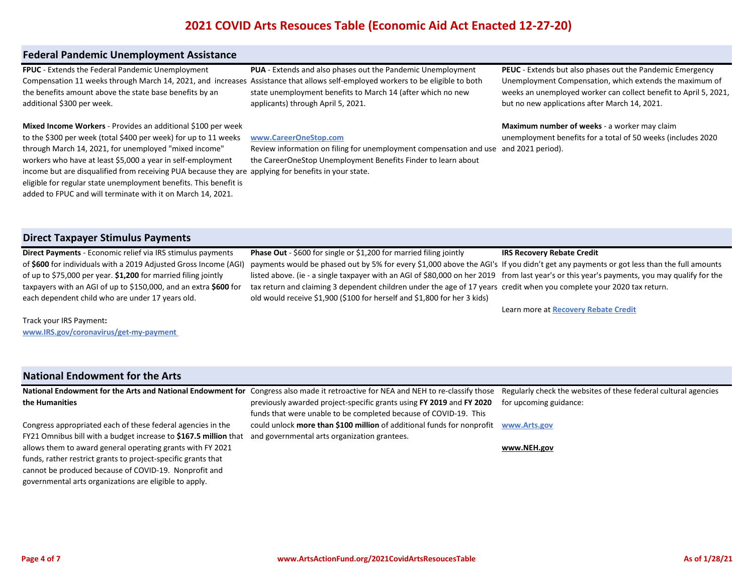# **Federal Pandemic Unemployment Assistance**

**FPUC** - Extends the Federal Pandemic Unemployment the benefits amount above the state base benefits by an additional \$300 per week.

Compensation 11 weeks through March 14, 2021, and increases [Assistance that allows self-employed workers to be eligible to both](https://www.careeronestop.org/LocalHelp/UnemploymentBenefits/find-unemployment-benefits.aspx)  **[PUA](https://www.careeronestop.org/LocalHelp/UnemploymentBenefits/find-unemployment-benefits.aspx)** [- Extends and also phases out the Pandemic Unemployment](https://www.careeronestop.org/LocalHelp/UnemploymentBenefits/find-unemployment-benefits.aspx)  [state unemployment benefits to March 14 \(after which no new](https://www.careeronestop.org/LocalHelp/UnemploymentBenefits/find-unemployment-benefits.aspx)  [applicants\) through April 5, 2021.](https://www.careeronestop.org/LocalHelp/UnemploymentBenefits/find-unemployment-benefits.aspx) 

**Mixed Income Workers** - Provides an additional \$100 per week to the \$300 per week (total \$400 per week) for up to 11 weeks through March 14, 2021, for unemployed "mixed income" workers who have at least \$5,000 a year in self-employment income but are disqualified from receiving PUA because they are [applying for benefits in your state.](https://www.careeronestop.org/LocalHelp/UnemploymentBenefits/find-unemployment-benefits.aspx)  eligible for regular state unemployment benefits. This benefit is added to FPUC and will terminate with it on March 14, 2021.

#### **[www.CareerOneStop.com](https://www.careeronestop.org/LocalHelp/UnemploymentBenefits/find-unemployment-benefits.aspx)**

[Review information on filing for unemployment compensation and use](https://www.careeronestop.org/LocalHelp/UnemploymentBenefits/find-unemployment-benefits.aspx)  and 2021 period). [the CareerOneStop Unemployment Benefits Finder to learn about](https://www.careeronestop.org/LocalHelp/UnemploymentBenefits/find-unemployment-benefits.aspx) 

**PEUC** - Extends but also phases out the Pandemic Emergency Unemployment Compensation, which extends the maximum of weeks an unemployed worker can collect benefit to April 5, 2021, but no new applications after March 14, 2021.

# **Maximum number of weeks** - a worker may claim unemployment benefits for a total of 50 weeks (includes 2020

## **Direct Taxpayer Stimulus Payments**

**Direct Payments** - Economic relief via IRS stimulus payments of **\$600** for individuals with a 2019 Adjusted Gross Income (AGI) of up to \$75,000 per year. **\$1,200** for married filing jointly taxpayers with an AGI of up to \$150,000, and an extra **\$600** for each dependent child who are under 17 years old.

**Phase Out** - \$600 for single or \$1,200 for married filing jointly payments would be phased out by 5% for every \$1,000 above the AGI's If you didn't get any payments or got less than the full amounts listed above. (ie - a single taxpayer with an AGI of \$80,000 on her 2019 from last year's or this year's payments, you may qualify for the tax return and claiming 3 dependent children under the age of 17 years [credit when you complete your 2020 tax return.](https://www.irs.gov/newsroom/recovery-rebate-credit)  old would receive \$1,900 (\$100 for herself and \$1,800 for her 3 kids) **[IRS Recovery Rebate Credit](https://www.irs.gov/newsroom/recovery-rebate-credit)**

[Learn more at](https://www.irs.gov/newsroom/recovery-rebate-credit) **[Recovery Rebate Credit](https://www.irs.gov/newsroom/recovery-rebate-credit)**

Track your IRS Payment**: www.IRS.gov/coronavirus/get-my-payment**

## **National Endowment for the Arts**

allows them to award general operating grants with FY 2021 funds, rather restrict grants to project-specific grants that cannot be produced because of COVID-19. Nonprofit and governmental arts organizations are eligible to apply.

**National Endowment for the Arts and National Endowment for**  Congress also made it retroactive for NEA and NEH to re-classify those Congress appropriated each of these federal agencies in the FY21 Omnibus bill with a budget increase to **\$167.5 million** that previously awarded project-specific grants using **FY 2019** and **FY 2020**  funds that were unable to be completed because of COVID-19. This could unlock **more than \$100 million** of additional funds for nonprofit and governmental arts organization grantees.

[Regularly check the websites of these federal cultural agencies](http://www.arts.gov/)  [for upcoming guidance:](http://www.arts.gov/)

**[www.Arts.gov](http://www.arts.gov/)**

**[www.NEH.gov](http://www.arts.gov/)**

**the Humanities**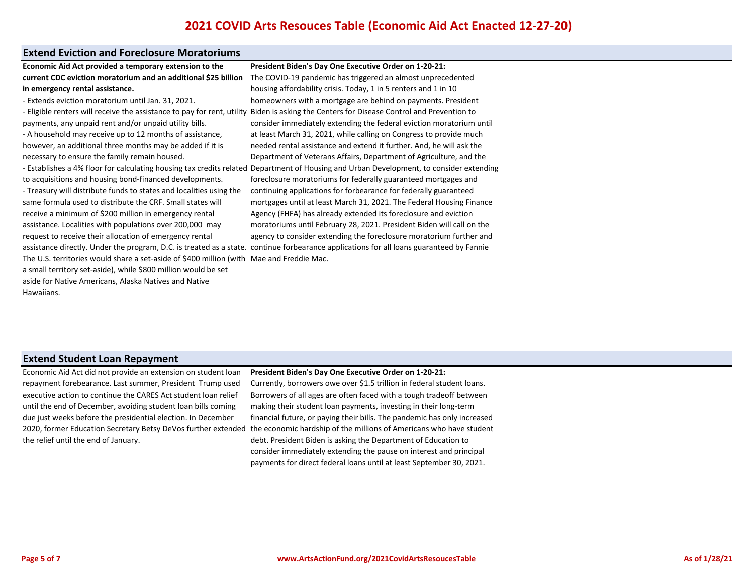## **Extend Eviction and Foreclosure Moratoriums**

**Economic Aid Act provided a temporary extension to the current CDC eviction moratorium and an additional \$25 billion in emergency rental assistance.**

- Extends eviction moratorium until Jan. 31, 2021.

- Eligible renters will receive the assistance to pay for rent, utility payments, any unpaid rent and/or unpaid utility bills. - A household may receive up to 12 months of assistance, however, an additional three months may be added if it is necessary to ensure the family remain housed. to acquisitions and housing bond-financed developments. - Treasury will distribute funds to states and localities using the same formula used to distribute the CRF. Small states will

receive a minimum of \$200 million in emergency rental assistance. Localities with populations over 200,000 may request to receive their allocation of emergency rental The U.S. territories would share a set-aside of \$400 million (with Mae and Freddie Mac. a small territory set-aside), while \$800 million would be set aside for Native Americans, Alaska Natives and Native Hawaiians.

- Establishes a 4% floor for calculating housing tax credits related Department of Housing and Urban Development, to consider extending assistance directly. Under the program, D.C. is treated as a state. continue forbearance applications for all loans guaranteed by Fannie **President Biden's Day One Executive Order on 1-20-21:** The COVID-19 pandemic has triggered an almost unprecedented housing affordability crisis. Today, 1 in 5 renters and 1 in 10 homeowners with a mortgage are behind on payments. President Biden is asking the Centers for Disease Control and Prevention to consider immediately extending the federal eviction moratorium until at least March 31, 2021, while calling on Congress to provide much needed rental assistance and extend it further. And, he will ask the Department of Veterans Affairs, Department of Agriculture, and the foreclosure moratoriums for federally guaranteed mortgages and continuing applications for forbearance for federally guaranteed mortgages until at least March 31, 2021. The Federal Housing Finance Agency (FHFA) has already extended its foreclosure and eviction moratoriums until February 28, 2021. President Biden will call on the agency to consider extending the foreclosure moratorium further and

# **Extend Student Loan Repayment**

Economic Aid Act did not provide an extension on student loan repayment forebearance. Last summer, President Trump used executive action to continue the CARES Act student loan relief until the end of December, avoiding student loan bills coming due just weeks before the presidential election. In December 2020, former Education Secretary Betsy DeVos further extended the relief until the end of January.

#### **President Biden's Day One Executive Order on 1-20-21:**

Currently, borrowers owe over \$1.5 trillion in federal student loans. Borrowers of all ages are often faced with a tough tradeoff between making their student loan payments, investing in their long-term financial future, or paying their bills. The pandemic has only increased the economic hardship of the millions of Americans who have student debt. President Biden is asking the Department of Education to consider immediately extending the pause on interest and principal payments for direct federal loans until at least September 30, 2021.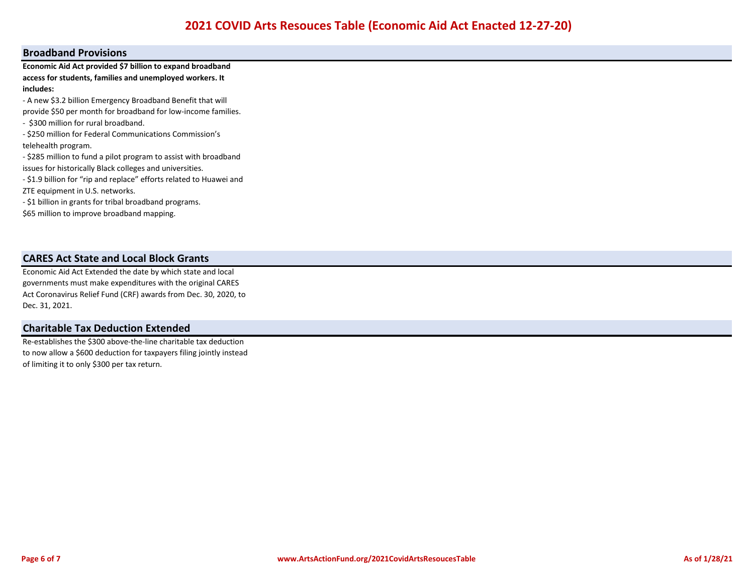## **Broadband Provisions**

**Economic Aid Act provided \$7 billion to expand broadband access for students, families and unemployed workers. It includes:**

- A new \$3.2 billion Emergency Broadband Benefit that will

provide \$50 per month for broadband for low-income families.

- \$300 million for rural broadband.

- \$250 million for Federal Communications Commission's telehealth program.

- \$285 million to fund a pilot program to assist with broadband issues for historically Black colleges and universities.

- \$1.9 billion for "rip and replace" efforts related to Huawei and ZTE equipment in U.S. networks.

- \$1 billion in grants for tribal broadband programs.

\$65 million to improve broadband mapping.

# **CARES Act State and Local Block Grants**

Economic Aid Act Extended the date by which state and local governments must make expenditures with the original CARES Act Coronavirus Relief Fund (CRF) awards from Dec. 30, 2020, to Dec. 31, 2021.

# **Charitable Tax Deduction Extended**

Re-establishes the \$300 above-the-line charitable tax deduction to now allow a \$600 deduction for taxpayers filing jointly instead of limiting it to only \$300 per tax return.